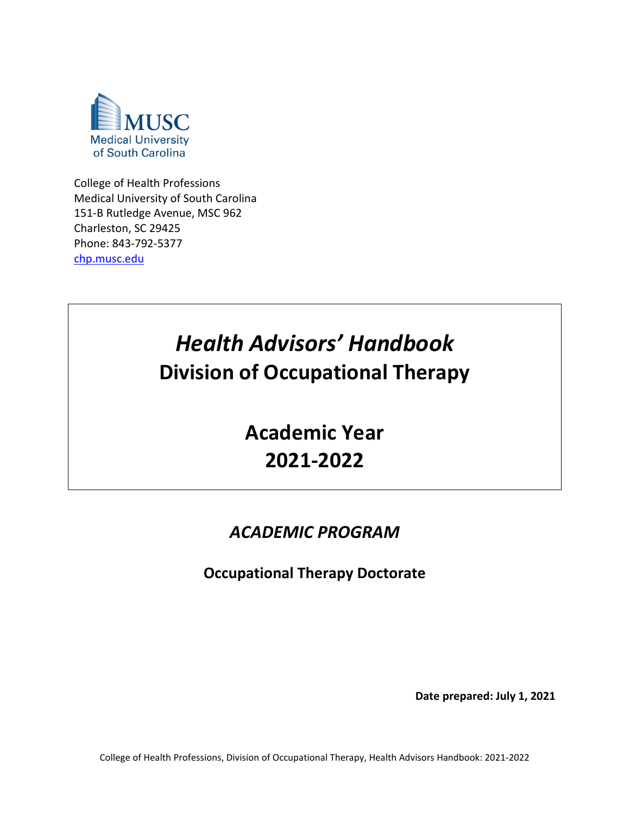

College of Health Professions Medical University of South Carolina 151-B Rutledge Avenue, MSC 962 Charleston, SC 29425 Phone: 843-792-5377 [chp.musc.edu](http://chp.musc.edu/)

# *Health Advisors' Handbook* **Division of Occupational Therapy**

**Academic Year 2021-2022**

# *ACADEMIC PROGRAM*

**Occupational Therapy Doctorate**

**Date prepared: July 1, 2021**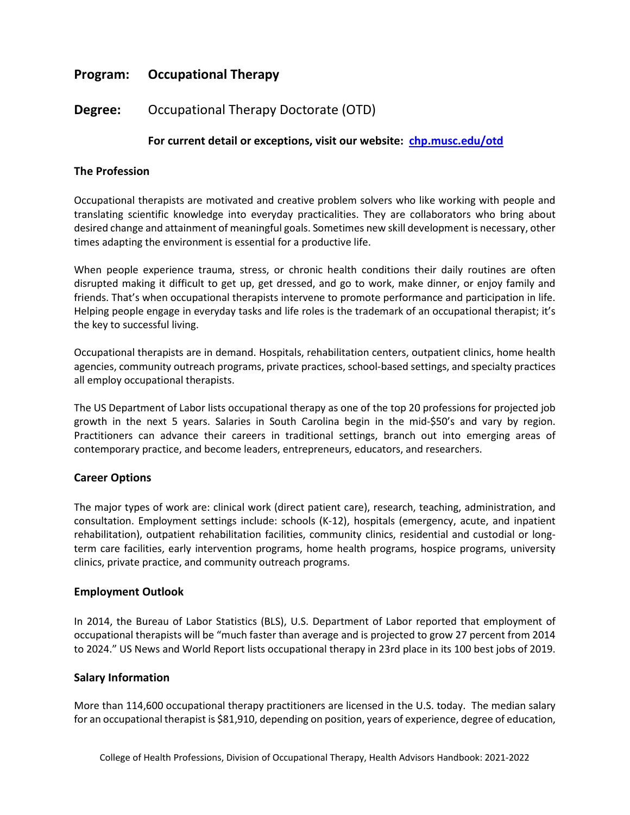# **Program: Occupational Therapy**

# **Degree:** Occupational Therapy Doctorate (OTD)

# **For current detail or exceptions, visit our website: [chp.musc.edu/otd](http://chp.musc.edu/otd)**

#### **The Profession**

Occupational therapists are motivated and creative problem solvers who like working with people and translating scientific knowledge into everyday practicalities. They are collaborators who bring about desired change and attainment of meaningful goals. Sometimes new skill development is necessary, other times adapting the environment is essential for a productive life.

When people experience trauma, stress, or chronic health conditions their daily routines are often disrupted making it difficult to get up, get dressed, and go to work, make dinner, or enjoy family and friends. That's when occupational therapists intervene to promote performance and participation in life. Helping people engage in everyday tasks and life roles is the trademark of an occupational therapist; it's the key to successful living.

Occupational therapists are in demand. Hospitals, rehabilitation centers, outpatient clinics, home health agencies, community outreach programs, private practices, school-based settings, and specialty practices all employ occupational therapists.

The US Department of Labor lists occupational therapy as one of the top 20 professions for projected job growth in the next 5 years. Salaries in South Carolina begin in the mid-\$50's and vary by region. Practitioners can advance their careers in traditional settings, branch out into emerging areas of contemporary practice, and become leaders, entrepreneurs, educators, and researchers.

#### **Career Options**

The major types of work are: clinical work (direct patient care), research, teaching, administration, and consultation. Employment settings include: schools (K-12), hospitals (emergency, acute, and inpatient rehabilitation), outpatient rehabilitation facilities, community clinics, residential and custodial or longterm care facilities, early intervention programs, home health programs, hospice programs, university clinics, private practice, and community outreach programs.

#### **Employment Outlook**

In 2014, the Bureau of Labor Statistics (BLS), U.S. Department of Labor reported that employment of occupational therapists will be "much faster than average and is projected to grow 27 percent from 2014 to 2024." US News and World Report lists occupational therapy in 23rd place in its 100 best jobs of 2019.

#### **Salary Information**

More than 114,600 occupational therapy practitioners are licensed in the U.S. today. The median salary for an occupational therapist is \$81,910, depending on position, years of experience, degree of education,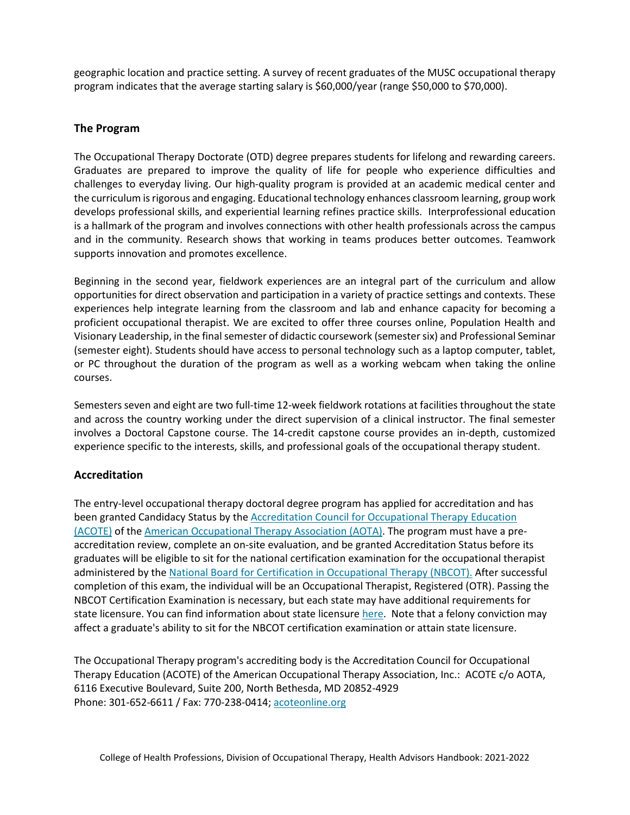geographic location and practice setting. A survey of recent graduates of the MUSC occupational therapy program indicates that the average starting salary is \$60,000/year (range \$50,000 to \$70,000).

# **The Program**

The Occupational Therapy Doctorate (OTD) degree prepares students for lifelong and rewarding careers. Graduates are prepared to improve the quality of life for people who experience difficulties and challenges to everyday living. Our high-quality program is provided at an academic medical center and the curriculum is rigorous and engaging. Educational technology enhances classroom learning, group work develops professional skills, and experiential learning refines practice skills. Interprofessional education is a hallmark of the program and involves connections with other health professionals across the campus and in the community. Research shows that working in teams produces better outcomes. Teamwork supports innovation and promotes excellence.

Beginning in the second year, fieldwork experiences are an integral part of the curriculum and allow opportunities for direct observation and participation in a variety of practice settings and contexts. These experiences help integrate learning from the classroom and lab and enhance capacity for becoming a proficient occupational therapist. We are excited to offer three courses online, Population Health and Visionary Leadership, in the final semester of didactic coursework (semester six) and Professional Seminar (semester eight). Students should have access to personal technology such as a laptop computer, tablet, or PC throughout the duration of the program as well as a working webcam when taking the online courses.

Semesters seven and eight are two full-time 12-week fieldwork rotations at facilities throughout the state and across the country working under the direct supervision of a clinical instructor. The final semester involves a Doctoral Capstone course. The 14-credit capstone course provides an in-depth, customized experience specific to the interests, skills, and professional goals of the occupational therapy student.

# **Accreditation**

The entry-level occupational therapy doctoral degree program has applied for accreditation and has been granted Candidacy Status by the [Accreditation](https://www.aota.org/Education-Careers/Accreditation.aspx) Council for Occupational Therapy Educatio[n](https://www.aota.org/Education-Careers/Accreditation.aspx) [\(ACOTE\)](https://www.aota.org/Education-Careers/Accreditation.aspx) of the American [Occupational](https://www.aota.org/) Therapy Association [\(AOTA\).](https://www.aota.org/) The program must have a preaccreditation review, complete an on-site evaluation, and be granted Accreditation Status before its graduates will be eligible to sit for the national certification examination for the occupational therapist administered by the National Board for Certification in [Occupational](https://www.nbcot.org/) Therapy [\(NBCOT\).](https://www.nbcot.org/) After successful completion of this exam, the individual will be an Occupational Therapist, Registered (OTR). Passing the NBCOT Certification Examination is necessary, but each state may have additional requirements for state licensure. You can find information about state licensure [here.](https://www.aota.org/Advocacy-Policy/State-Policy/Licensure/How-To.aspx) Note that a felony conviction may affect a graduate's ability to sit for the NBCOT certification examination or attain state licensure.

The Occupational Therapy program's accrediting body is the Accreditation Council for Occupational Therapy Education (ACOTE) of the American Occupational Therapy Association, Inc.: ACOTE c/o AOTA, 6116 Executive Boulevard, Suite 200, North Bethesda, MD 20852-4929 Phone: 301-652-6611 / Fax: 770-238-0414; [acoteonline.org](https://acoteonline.org/)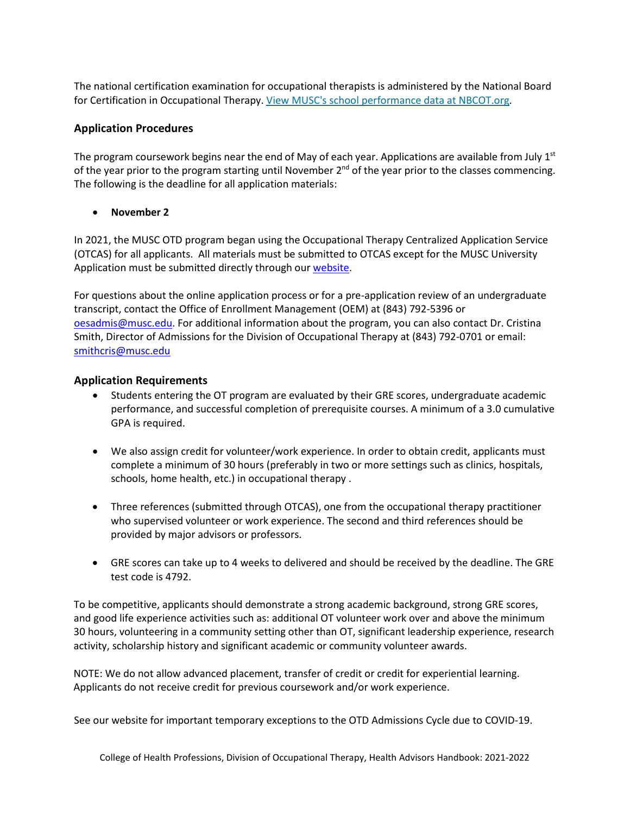The national certification examination for occupational therapists is administered by the National Board for Certification in Occupational Therapy. View MUSC's school [performance](https://www.nbcot.org/Educators/Home#SchoolPerformance) data at [NBCOT.org.](https://www.nbcot.org/Educators/Home#SchoolPerformance)

# **Application Procedures**

The program coursework begins near the end of May of each year. Applications are available from July  $1^{st}$ of the year prior to the program starting until November 2<sup>nd</sup> of the year prior to the classes commencing. The following is the deadline for all application materials:

• **November 2**

In 2021, the MUSC OTD program began using the Occupational Therapy Centralized Application Service (OTCAS) for all applicants. All materials must be submitted to OTCAS except for the MUSC University Application must be submitted directly through our [website.](https://www.applyweb.com/musc/index.ftl)

For questions about the online application process or for a pre-application review of an undergraduate transcript, contact the Office of Enrollment Management (OEM) at (843) 792-5396 or [oesadmis@musc.edu.](mailto:oesadmis@musc.edu) For additional information about the program, you can also contact Dr. Cristina Smith, Director of Admissions for the Division of Occupational Therapy at (843) 792-0701 or email: [smithcris@musc.edu](mailto:smithcris@musc.edu)

# **Application Requirements**

- Students entering the OT program are evaluated by their GRE scores, undergraduate academic performance, and successful completion of prerequisite courses. A minimum of a 3.0 cumulative GPA is required.
- We also assign credit for volunteer/work experience. In order to obtain credit, applicants must complete a minimum of 30 hours (preferably in two or more settings such as clinics, hospitals, schools, home health, etc.) in occupational therapy .
- Three references (submitted through OTCAS), one from the occupational therapy practitioner who supervised volunteer or work experience. The second and third references should be provided by major advisors or professors.
- GRE scores can take up to 4 weeks to delivered and should be received by the deadline. The GRE test code is 4792.

To be competitive, applicants should demonstrate a strong academic background, strong GRE scores, and good life experience activities such as: additional OT volunteer work over and above the minimum 30 hours, volunteering in a community setting other than OT, significant leadership experience, research activity, scholarship history and significant academic or community volunteer awards.

NOTE: We do not allow advanced placement, transfer of credit or credit for experiential learning. Applicants do not receive credit for previous coursework and/or work experience.

See our website for important temporary exceptions to the OTD Admissions Cycle due to COVID-19.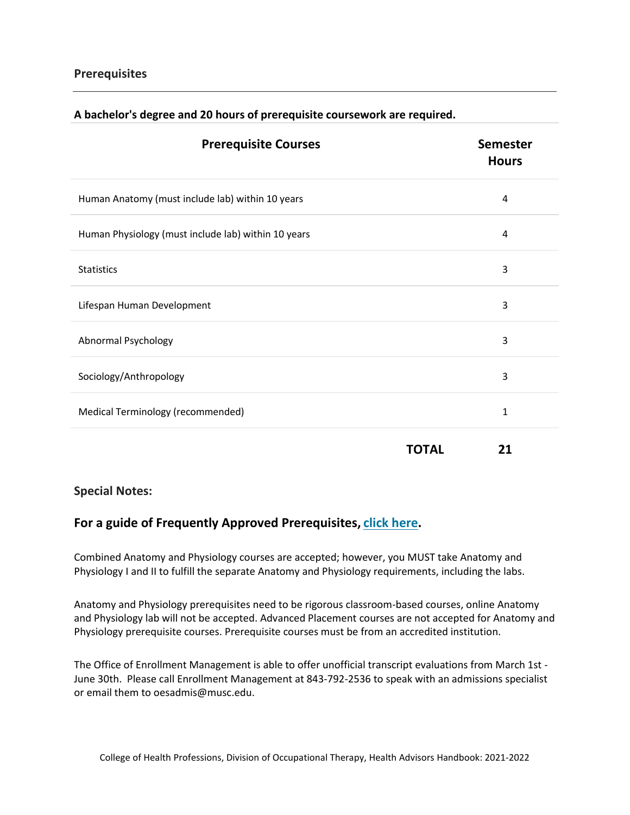# **Prerequisites**

| <b>Prerequisite Courses</b>                         |              | <b>Semester</b><br><b>Hours</b> |  |
|-----------------------------------------------------|--------------|---------------------------------|--|
| Human Anatomy (must include lab) within 10 years    |              | 4                               |  |
| Human Physiology (must include lab) within 10 years |              | 4                               |  |
| <b>Statistics</b>                                   |              | 3                               |  |
| Lifespan Human Development                          |              | 3                               |  |
| <b>Abnormal Psychology</b>                          |              | 3                               |  |
| Sociology/Anthropology                              |              | 3                               |  |
| Medical Terminology (recommended)                   |              | 1                               |  |
|                                                     | <b>TOTAL</b> | 21                              |  |

# **A bachelor's degree and 20 hours of prerequisite coursework are required.**

# **Special Notes:**

# **For a guide of Frequently Approved Prerequisites, [click](https://education.musc.edu/admissions/future-applicants/required-prerequisites/frequently-approved-prerequisites) [here.](https://education.musc.edu/admissions/future-applicants/required-prerequisites/frequently-approved-prerequisites)**

Combined Anatomy and Physiology courses are accepted; however, you MUST take Anatomy and Physiology I and II to fulfill the separate Anatomy and Physiology requirements, including the labs.

Anatomy and Physiology prerequisites need to be rigorous classroom-based courses, online Anatomy and Physiology lab will not be accepted. Advanced Placement courses are not accepted for Anatomy and Physiology prerequisite courses. Prerequisite courses must be from an accredited institution.

The Office of Enrollment Management is able to offer unofficial transcript evaluations from March 1st - June 30th. Please call Enrollment Management at 843-792-2536 to speak with an admissions specialist or email them to oesadmis@musc.edu.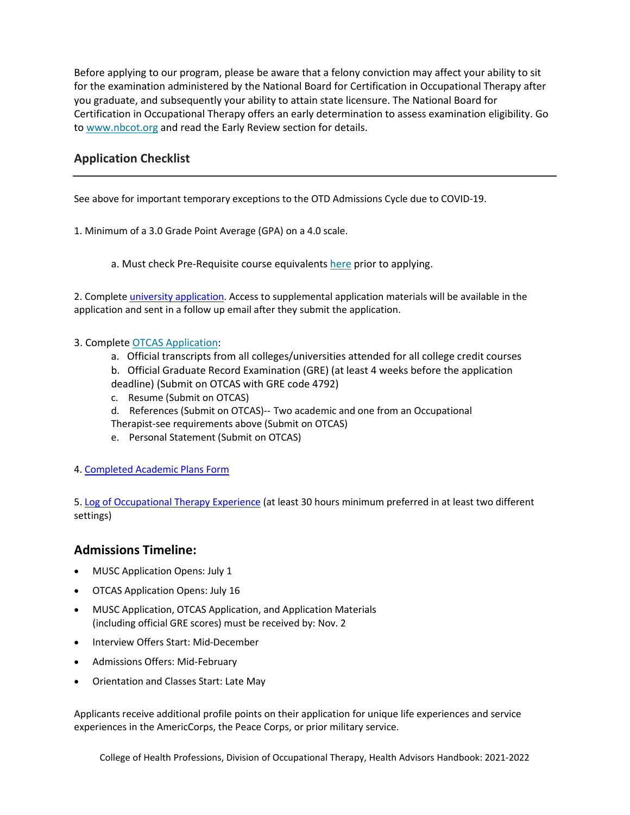Before applying to our program, please be aware that a felony conviction may affect your ability to sit for the examination administered by the National Board for Certification in Occupational Therapy after you graduate, and subsequently your ability to attain state licensure. The National Board for Certification in Occupational Therapy offers an early determination to assess examination eligibility. Go to [www.nbcot.org](http://www.nbcot.org/) and read the Early Review section for details.

# **Application Checklist**

See above for important temporary exceptions to the OTD Admissions Cycle due to COVID-19.

1. Minimum of a 3.0 Grade Point Average (GPA) on a 4.0 scale.

a. Must check Pre-Requisite course equivalents [here](https://education.musc.edu/admissions/future-applicants/required-prerequisites/frequently-approved-prerequisites) prior to applying.

2. Complete [university application.](https://www.applyweb.com/musc/index.ftl) Access to supplemental application materials will be available in the application and sent in a follow up email after they submit the application.

#### 3. Complete [OTCAS](https://www.aota.org/Education-Careers/Find-School/OTCAS.aspx) [Application:](https://www.aota.org/Education-Careers/Find-School/OTCAS.aspx)

- a. Official transcripts from all colleges/universities attended for all college credit courses
- b. Official Graduate Record Examination (GRE) (at least 4 weeks before the application deadline) (Submit on OTCAS with GRE code 4792)
- c. Resume (Submit on OTCAS)
- d. References (Submit on OTCAS)-- Two academic and one from an Occupational
- Therapist-see requirements above (Submit on OTCAS)
- e. Personal Statement (Submit on OTCAS)
- 4[. Completed Academic Plans Form](https://education.musc.edu/-/sm/education/admissions/f/academic-plans-form.ashx)

5[. Log of Occupational Therapy Experience](https://education.musc.edu/-/sm/education/admissions/supplemental-files/occupational-therapy-doctorate-experience-log.ashx?la=en) (at least 30 hours minimum preferred in at least two different settings)

# **Admissions Timeline:**

- MUSC Application Opens: July 1
- OTCAS Application Opens: July 16
- MUSC Application, OTCAS Application, and Application Materials (including official GRE scores) must be received by: Nov. 2
- Interview Offers Start: Mid-December
- Admissions Offers: Mid-February
- Orientation and Classes Start: Late May

Applicants receive additional profile points on their application for unique life experiences and service experiences in the AmericCorps, the Peace Corps, or prior military service.

College of Health Professions, Division of Occupational Therapy, Health Advisors Handbook: 2021-2022